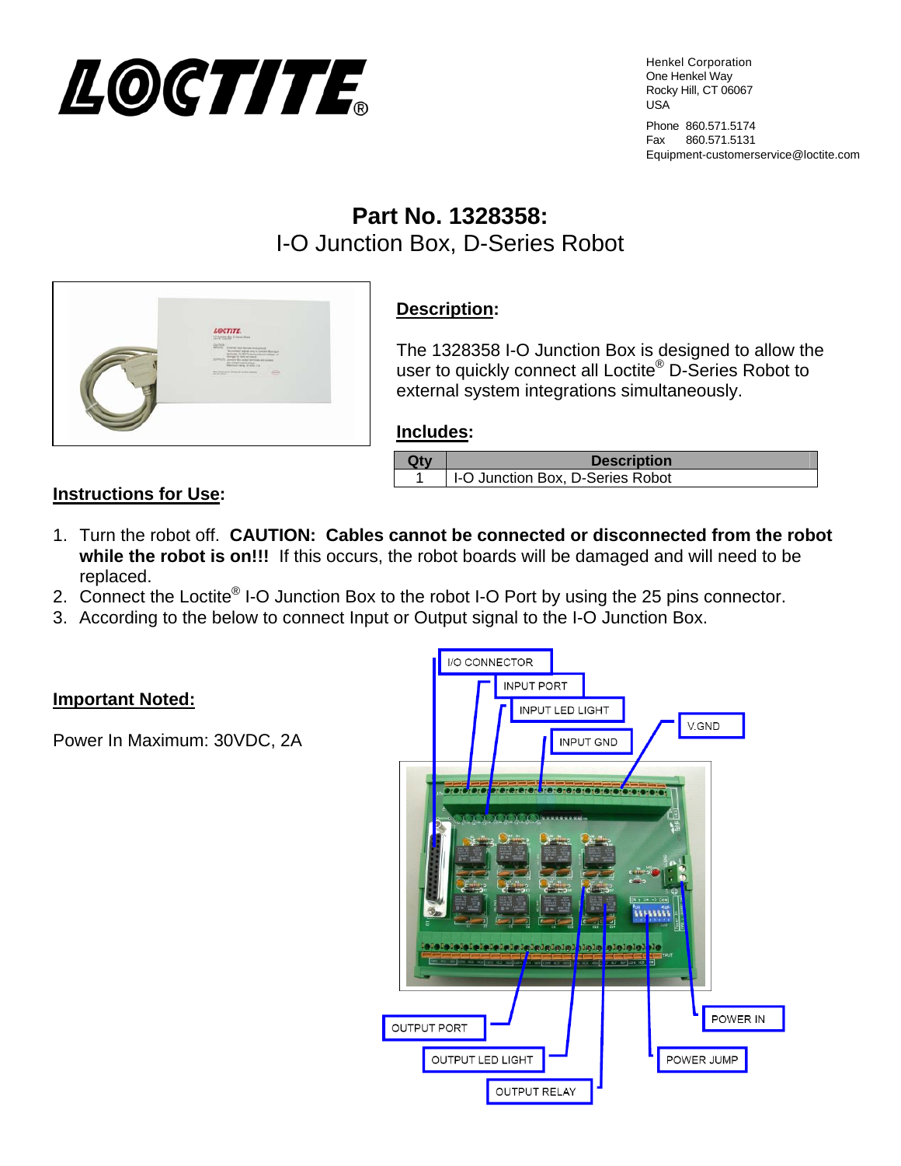

Henkel Corporation One Henkel Way Rocky Hill, CT 06067 USA

Phone 860.571.5174 Fax 860.571.5131 Equipment-customerservice@loctite.com

# **Part No. 1328358:**  I-O Junction Box, D-Series Robot



## **Description:**

The 1328358 I-O Junction Box is designed to allow the user to quickly connect all Loctite® D-Series Robot to external system integrations simultaneously.

#### **Includes:**

| <b>Description</b>               |
|----------------------------------|
| I-O Junction Box, D-Series Robot |

#### **Instructions for Use:**

- 1. Turn the robot off. **CAUTION: Cables cannot be connected or disconnected from the robot while the robot is on!!!** If this occurs, the robot boards will be damaged and will need to be replaced.
- 2. Connect the Loctite<sup>®</sup> I-O Junction Box to the robot I-O Port by using the 25 pins connector.
- 3. According to the below to connect Input or Output signal to the I-O Junction Box.

#### **Important Noted:**

Power In Maximum: 30VDC, 2A

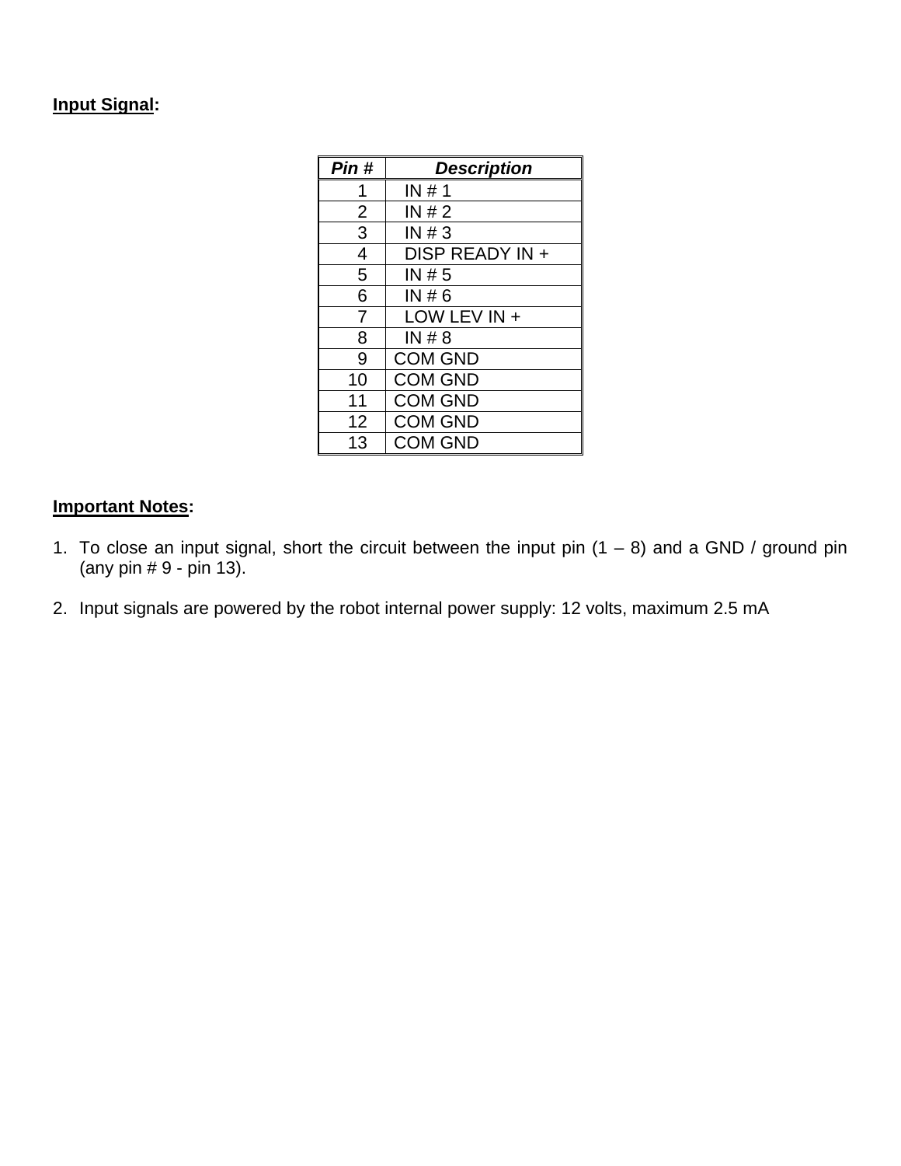### **Input Signal:**

| Pin#           | <b>Description</b> |
|----------------|--------------------|
| 1              | IN#1               |
| $\overline{2}$ | IN#2               |
| 3              | IN#3               |
| 4              | DISP READY IN +    |
| 5              | IN# 5              |
| 6              | IN#6               |
| 7              | LOW LEV IN +       |
| 8              | IN#8               |
| 9              | <b>COM GND</b>     |
| 10             | <b>COM GND</b>     |
| 11             | <b>COM GND</b>     |
| 12             | <b>COM GND</b>     |
| 13             | <b>COM GND</b>     |

#### **Important Notes:**

- 1. To close an input signal, short the circuit between the input pin  $(1 8)$  and a GND / ground pin (any pin # 9 - pin 13).
- 2. Input signals are powered by the robot internal power supply: 12 volts, maximum 2.5 mA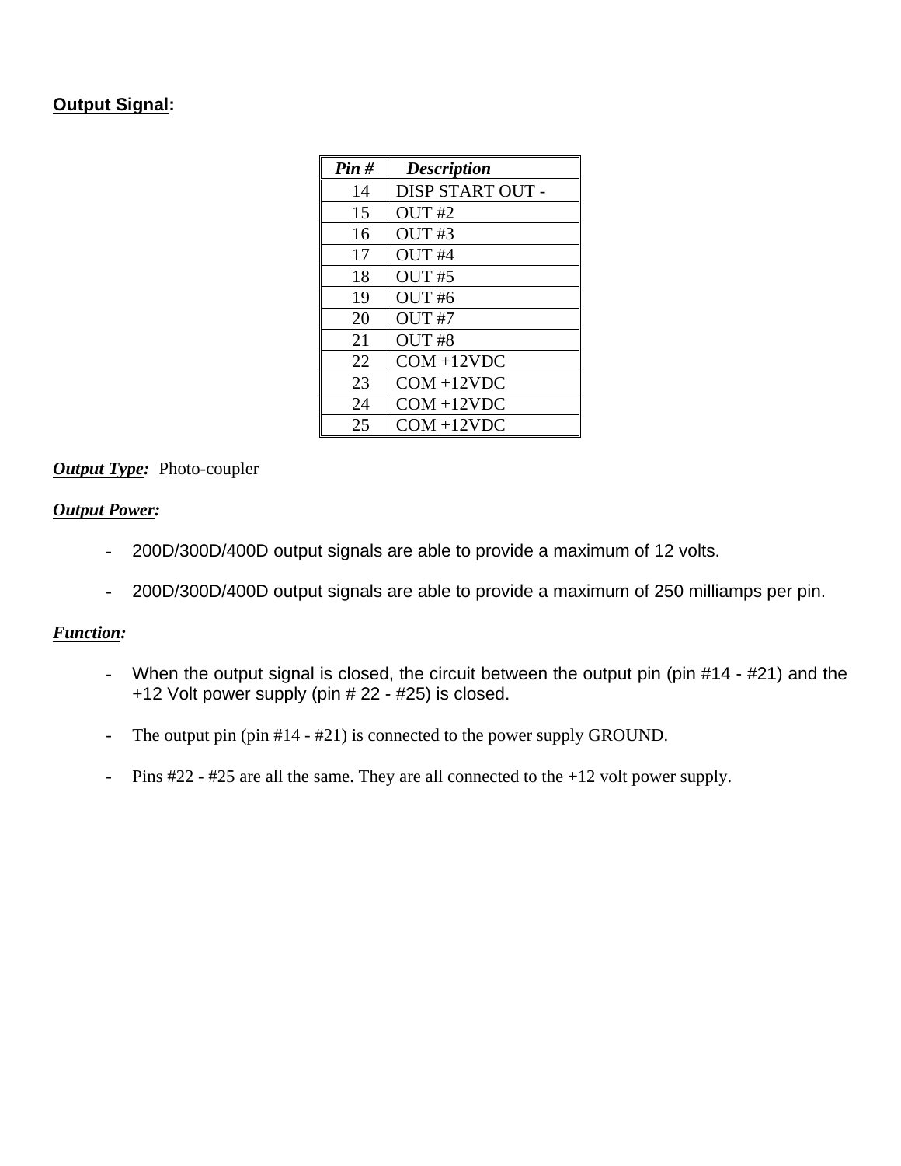#### **Output Signal:**

| Pin# | <b>Description</b> |
|------|--------------------|
| 14   | DISP START OUT -   |
| 15   | OUT#2              |
| 16   | OUT#3              |
| 17   | OUT <sub>#4</sub>  |
| 18   | OUT#5              |
| 19   | OUT <sub>#6</sub>  |
| 20   | OUT #7             |
| 21   | OUT #8             |
| 22   | $COM + 12VDC$      |
| 23   | $COM + 12VDC$      |
| 24   | $COM + 12VDC$      |
| 25   | $COM + 12VDC$      |

#### *Output Type:* Photo-coupler

#### *Output Power:*

- 200D/300D/400D output signals are able to provide a maximum of 12 volts.
- 200D/300D/400D output signals are able to provide a maximum of 250 milliamps per pin.

#### *Function:*

- When the output signal is closed, the circuit between the output pin (pin #14 #21) and the +12 Volt power supply (pin # 22 - #25) is closed.
- The output pin (pin #14 #21) is connected to the power supply GROUND.
- Pins #22 #25 are all the same. They are all connected to the +12 volt power supply.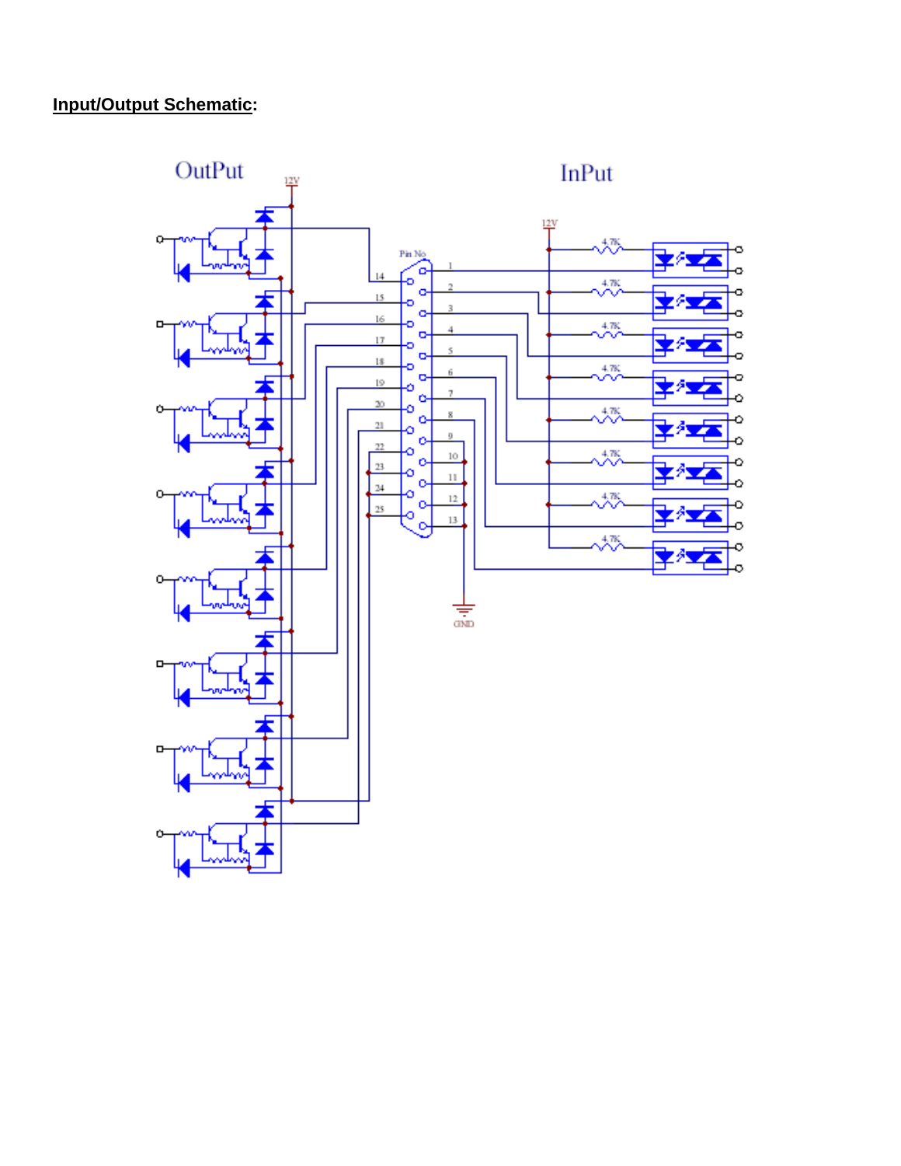## **Input/Output Schematic:**